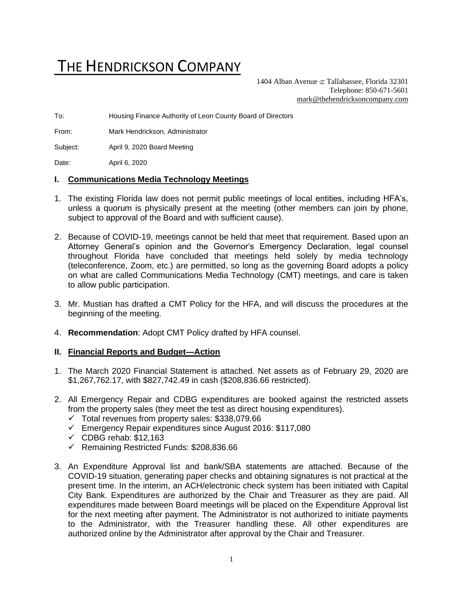# THE HENDRICKSON COMPANY

1404 Alban Avenue  $\sigma$  Tallahassee, Florida 32301 Telephone: 850-671-5601 [mark@thehendricksoncompany.com](mailto:mark@thehendricksoncompany.com)

To: Housing Finance Authority of Leon County Board of Directors

From: Mark Hendrickson, Administrator

Subject: April 9, 2020 Board Meeting

Date: April 6, 2020

#### **I. Communications Media Technology Meetings**

- 1. The existing Florida law does not permit public meetings of local entities, including HFA's, unless a quorum is physically present at the meeting (other members can join by phone, subject to approval of the Board and with sufficient cause).
- 2. Because of COVID-19, meetings cannot be held that meet that requirement. Based upon an Attorney General's opinion and the Governor's Emergency Declaration, legal counsel throughout Florida have concluded that meetings held solely by media technology (teleconference, Zoom, etc.) are permitted, so long as the governing Board adopts a policy on what are called Communications Media Technology (CMT) meetings, and care is taken to allow public participation.
- 3. Mr. Mustian has drafted a CMT Policy for the HFA, and will discuss the procedures at the beginning of the meeting.
- 4. **Recommendation**: Adopt CMT Policy drafted by HFA counsel.

#### **II. Financial Reports and Budget—Action**

- 1. The March 2020 Financial Statement is attached. Net assets as of February 29, 2020 are \$1,267,762.17, with \$827,742.49 in cash (\$208,836.66 restricted).
- 2. All Emergency Repair and CDBG expenditures are booked against the restricted assets from the property sales (they meet the test as direct housing expenditures).
	- $\checkmark$  Total revenues from property sales: \$338,079.66
	- ✓ Emergency Repair expenditures since August 2016: \$117,080
	- $\checkmark$  CDBG rehab: \$12,163
	- ✓ Remaining Restricted Funds: \$208,836.66
- 3. An Expenditure Approval list and bank/SBA statements are attached. Because of the COVID-19 situation, generating paper checks and obtaining signatures is not practical at the present time. In the interim, an ACH/electronic check system has been initiated with Capital City Bank. Expenditures are authorized by the Chair and Treasurer as they are paid. All expenditures made between Board meetings will be placed on the Expenditure Approval list for the next meeting after payment. The Administrator is not authorized to initiate payments to the Administrator, with the Treasurer handling these. All other expenditures are authorized online by the Administrator after approval by the Chair and Treasurer.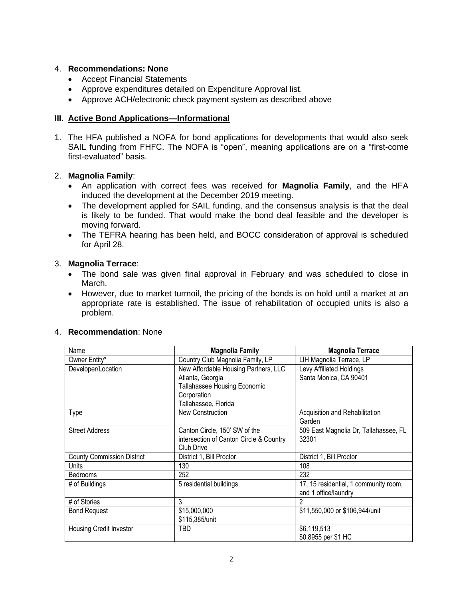# 4. **Recommendations: None**

- Accept Financial Statements
- Approve expenditures detailed on Expenditure Approval list.
- Approve ACH/electronic check payment system as described above

## **III. Active Bond Applications—Informational**

1. The HFA published a NOFA for bond applications for developments that would also seek SAIL funding from FHFC. The NOFA is "open", meaning applications are on a "first-come first-evaluated" basis.

#### 2. **Magnolia Family**:

- An application with correct fees was received for **Magnolia Family**, and the HFA induced the development at the December 2019 meeting.
- The development applied for SAIL funding, and the consensus analysis is that the deal is likely to be funded. That would make the bond deal feasible and the developer is moving forward.
- The TEFRA hearing has been held, and BOCC consideration of approval is scheduled for April 28.

#### 3. **Magnolia Terrace**:

- The bond sale was given final approval in February and was scheduled to close in March.
- However, due to market turmoil, the pricing of the bonds is on hold until a market at an appropriate rate is established. The issue of rehabilitation of occupied units is also a problem.

| Name                              | <b>Magnolia Family</b>                  | <b>Magnolia Terrace</b>               |  |  |
|-----------------------------------|-----------------------------------------|---------------------------------------|--|--|
| Owner Entity*                     | Country Club Magnolia Family, LP        | LIH Magnolia Terrace, LP              |  |  |
| Developer/Location                | New Affordable Housing Partners, LLC    |                                       |  |  |
|                                   | Atlanta, Georgia                        | Santa Monica, CA 90401                |  |  |
|                                   | <b>Tallahassee Housing Economic</b>     |                                       |  |  |
|                                   | Corporation                             |                                       |  |  |
|                                   | Tallahassee, Florida                    |                                       |  |  |
| Type                              | New Construction                        | Acquisition and Rehabilitation        |  |  |
|                                   |                                         | Garden                                |  |  |
| <b>Street Address</b>             | Canton Circle, 150' SW of the           | 509 East Magnolia Dr, Tallahassee, FL |  |  |
|                                   | intersection of Canton Circle & Country | 32301                                 |  |  |
|                                   | Club Drive                              |                                       |  |  |
| <b>County Commission District</b> | District 1, Bill Proctor                | District 1, Bill Proctor              |  |  |
| Units                             | 130                                     | 108                                   |  |  |
| <b>Bedrooms</b>                   | 252                                     | 232                                   |  |  |
| # of Buildings                    | 5 residential buildings                 | 17, 15 residential, 1 community room, |  |  |
|                                   |                                         | and 1 office/laundry                  |  |  |
| # of Stories                      | 3                                       | 2                                     |  |  |
| <b>Bond Request</b>               | \$15,000,000                            | \$11,550,000 or \$106,944/unit        |  |  |
|                                   | \$115,385/unit                          |                                       |  |  |
| <b>Housing Credit Investor</b>    | TBD                                     | \$6,119,513                           |  |  |
|                                   |                                         | \$0.8955 per \$1 HC                   |  |  |

#### 4. **Recommendation**: None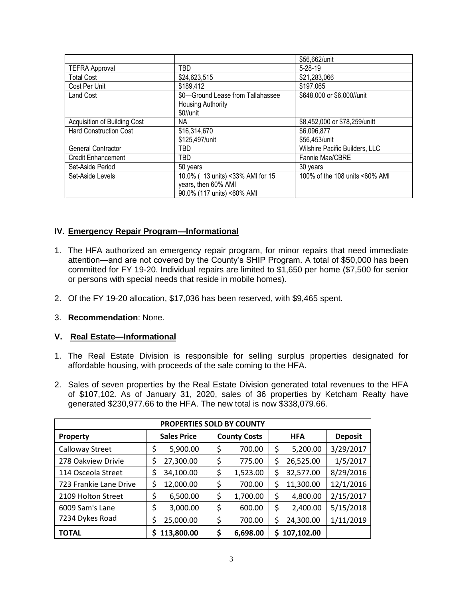|                               |                                   | \$56,662/unit                  |
|-------------------------------|-----------------------------------|--------------------------------|
| <b>TEFRA Approval</b>         | TBD                               | $5 - 28 - 19$                  |
| <b>Total Cost</b>             | \$24,623,515                      | \$21,283,066                   |
| Cost Per Unit                 | \$189,412                         | \$197,065                      |
| Land Cost                     | \$0-Ground Lease from Tallahassee | \$648,000 or \$6,000//unit     |
|                               | <b>Housing Authority</b>          |                                |
|                               | \$0//unit                         |                                |
| Acquisition of Building Cost  | NA.                               | \$8,452,000 or \$78,259/unitt  |
| <b>Hard Construction Cost</b> | \$16,314,670                      | \$6,096,877                    |
|                               | \$125,497/unit                    | \$56,453/unit                  |
| General Contractor            | TBD                               | Wilshire Pacific Builders, LLC |
| <b>Credit Enhancement</b>     | TBD                               | Fannie Mae/CBRE                |
| Set-Aside Period              | 50 years                          | 30 years                       |
| Set-Aside Levels              | 10.0% ( 13 units) <33% AMI for 15 | 100% of the 108 units <60% AMI |
|                               | years, then 60% AMI               |                                |
|                               | 90.0% (117 units) <60% AMI        |                                |

# **IV. Emergency Repair Program—Informational**

- 1. The HFA authorized an emergency repair program, for minor repairs that need immediate attention—and are not covered by the County's SHIP Program. A total of \$50,000 has been committed for FY 19-20. Individual repairs are limited to \$1,650 per home (\$7,500 for senior or persons with special needs that reside in mobile homes).
- 2. Of the FY 19-20 allocation, \$17,036 has been reserved, with \$9,465 spent.
- 3. **Recommendation**: None.

# **V. Real Estate—Informational**

- 1. The Real Estate Division is responsible for selling surplus properties designated for affordable housing, with proceeds of the sale coming to the HFA.
- 2. Sales of seven properties by the Real Estate Division generated total revenues to the HFA of \$107,102. As of January 31, 2020, sales of 36 properties by Ketcham Realty have generated \$230,977.66 to the HFA. The new total is now \$338,079.66.

| PROPERTIES SOLD BY COUNTY                                             |                    |                     |                 |           |  |  |  |  |
|-----------------------------------------------------------------------|--------------------|---------------------|-----------------|-----------|--|--|--|--|
| <b>Property</b>                                                       | <b>Sales Price</b> | <b>County Costs</b> | <b>Deposit</b>  |           |  |  |  |  |
| Calloway Street                                                       | \$<br>5,900.00     | \$<br>700.00        | \$<br>5,200.00  | 3/29/2017 |  |  |  |  |
| 278 Oakview Drivie                                                    | 27,300.00<br>Ş     | \$<br>775.00        | 26,525.00<br>\$ | 1/5/2017  |  |  |  |  |
| 114 Osceola Street                                                    | 34,100.00<br>\$    | \$<br>1,523.00      | \$<br>32,577.00 | 8/29/2016 |  |  |  |  |
| 723 Frankie Lane Drive                                                | \$<br>12,000.00    | \$<br>700.00        | \$<br>11,300.00 | 12/1/2016 |  |  |  |  |
| 2109 Holton Street                                                    | \$<br>6,500.00     | \$<br>1,700.00      | \$<br>4,800.00  | 2/15/2017 |  |  |  |  |
| 6009 Sam's Lane                                                       | \$<br>3,000.00     | \$<br>600.00        | \$<br>2,400.00  | 5/15/2018 |  |  |  |  |
| 7234 Dykes Road                                                       | 25,000.00<br>\$    | \$<br>700.00        | \$<br>24,300.00 | 1/11/2019 |  |  |  |  |
| \$<br>107,102.00<br>113,800.00<br>\$<br>6,698.00<br><b>TOTAL</b><br>S |                    |                     |                 |           |  |  |  |  |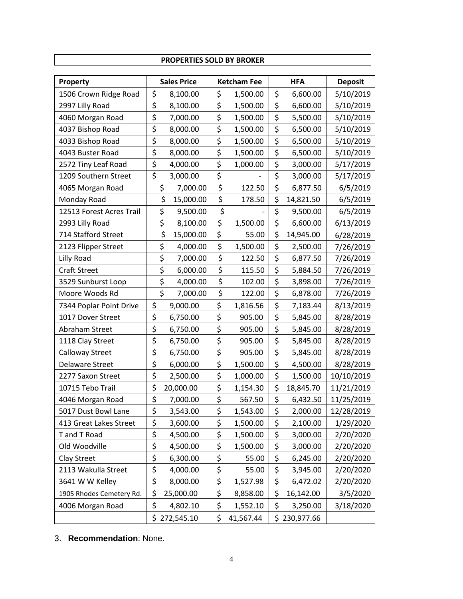| PROPERTIES SOLD BY BROKER |                |                                          |    |           |    |              |                |  |  |
|---------------------------|----------------|------------------------------------------|----|-----------|----|--------------|----------------|--|--|
| Property                  |                | <b>Sales Price</b><br><b>Ketcham Fee</b> |    |           |    | <b>HFA</b>   | <b>Deposit</b> |  |  |
| 1506 Crown Ridge Road     | \$             | 8,100.00                                 | \$ | 1,500.00  | \$ | 6,600.00     | 5/10/2019      |  |  |
| 2997 Lilly Road           | \$             | 8,100.00                                 | \$ | 1,500.00  | \$ | 6,600.00     | 5/10/2019      |  |  |
| 4060 Morgan Road          | \$             | 7,000.00                                 | \$ | 1,500.00  | \$ | 5,500.00     | 5/10/2019      |  |  |
| 4037 Bishop Road          | \$             | 8,000.00                                 | \$ | 1,500.00  | \$ | 6,500.00     | 5/10/2019      |  |  |
| 4033 Bishop Road          | \$             | 8,000.00                                 | \$ | 1,500.00  | \$ | 6,500.00     | 5/10/2019      |  |  |
| 4043 Buster Road          | \$             | 8,000.00                                 | \$ | 1,500.00  | \$ | 6,500.00     | 5/10/2019      |  |  |
| 2572 Tiny Leaf Road       | \$             | 4,000.00                                 | \$ | 1,000.00  | \$ | 3,000.00     | 5/17/2019      |  |  |
| 1209 Southern Street      | \$             | 3,000.00                                 | \$ |           | \$ | 3,000.00     | 5/17/2019      |  |  |
| 4065 Morgan Road          | \$             | 7,000.00                                 | \$ | 122.50    | \$ | 6,877.50     | 6/5/2019       |  |  |
| Monday Road               | \$             | 15,000.00                                | \$ | 178.50    | \$ | 14,821.50    | 6/5/2019       |  |  |
| 12513 Forest Acres Trail  | \$             | 9,500.00                                 | \$ |           | \$ | 9,500.00     | 6/5/2019       |  |  |
| 2993 Lilly Road           | \$             | 8,100.00                                 | \$ | 1,500.00  | \$ | 6,600.00     | 6/13/2019      |  |  |
| 714 Stafford Street       | \$             | 15,000.00                                | \$ | 55.00     | \$ | 14,945.00    | 6/28/2019      |  |  |
| 2123 Flipper Street       | \$             | 4,000.00                                 | \$ | 1,500.00  | \$ | 2,500.00     | 7/26/2019      |  |  |
| Lilly Road                | \$             | 7,000.00                                 | \$ | 122.50    | \$ | 6,877.50     | 7/26/2019      |  |  |
| <b>Craft Street</b>       | \$             | 6,000.00                                 | \$ | 115.50    | \$ | 5,884.50     | 7/26/2019      |  |  |
| 3529 Sunburst Loop        | \$             | 4,000.00                                 | \$ | 102.00    | \$ | 3,898.00     | 7/26/2019      |  |  |
| Moore Woods Rd            | \$             | 7,000.00                                 | \$ | 122.00    | \$ | 6,878.00     | 7/26/2019      |  |  |
| 7344 Poplar Point Drive   | \$             | 9,000.00                                 | \$ | 1,816.56  | \$ | 7,183.44     | 8/13/2019      |  |  |
| 1017 Dover Street         | \$             | 6,750.00                                 | \$ | 905.00    | \$ | 5,845.00     | 8/28/2019      |  |  |
| Abraham Street            | \$             | 6,750.00                                 | \$ | 905.00    | \$ | 5,845.00     | 8/28/2019      |  |  |
| 1118 Clay Street          | \$<br>6,750.00 |                                          | \$ | 905.00    | \$ | 5,845.00     | 8/28/2019      |  |  |
| <b>Calloway Street</b>    | \$             | 6,750.00                                 | \$ | 905.00    | \$ | 5,845.00     | 8/28/2019      |  |  |
| <b>Delaware Street</b>    | \$             | 6,000.00                                 | \$ | 1,500.00  | \$ | 4,500.00     | 8/28/2019      |  |  |
| 2277 Saxon Street         | \$             | 2,500.00                                 | \$ | 1,000.00  | \$ | 1,500.00     | 10/10/2019     |  |  |
| 10715 Tebo Trail          | \$             | 20,000.00                                | \$ | 1,154.30  | \$ | 18,845.70    | 11/21/2019     |  |  |
| 4046 Morgan Road          | \$             | 7,000.00                                 | \$ | 567.50    | \$ | 6,432.50     | 11/25/2019     |  |  |
| 5017 Dust Bowl Lane       | \$             | 3,543.00                                 | \$ | 1,543.00  | \$ | 2,000.00     | 12/28/2019     |  |  |
| 413 Great Lakes Street    | \$             | 3,600.00                                 | \$ | 1,500.00  | \$ | 2,100.00     | 1/29/2020      |  |  |
| T and T Road              | \$             | 4,500.00                                 | \$ | 1,500.00  | \$ | 3,000.00     | 2/20/2020      |  |  |
| Old Woodville             | \$             | 4,500.00                                 | \$ | 1,500.00  | \$ | 3,000.00     | 2/20/2020      |  |  |
| Clay Street               | \$             | 6,300.00                                 | \$ | 55.00     | \$ | 6,245.00     | 2/20/2020      |  |  |
| 2113 Wakulla Street       | \$             | 4,000.00                                 | \$ | 55.00     | \$ | 3,945.00     | 2/20/2020      |  |  |
| 3641 W W Kelley           | \$             | 8,000.00                                 | \$ | 1,527.98  | \$ | 6,472.02     | 2/20/2020      |  |  |
| 1905 Rhodes Cemetery Rd.  | \$             | 25,000.00                                | \$ | 8,858.00  | \$ | 16,142.00    | 3/5/2020       |  |  |
| 4006 Morgan Road          | \$             | 4,802.10                                 | \$ | 1,552.10  | \$ | 3,250.00     | 3/18/2020      |  |  |
|                           |                | \$272,545.10                             | \$ | 41,567.44 |    | \$230,977.66 |                |  |  |

٦

3. **Recommendation**: None.

Г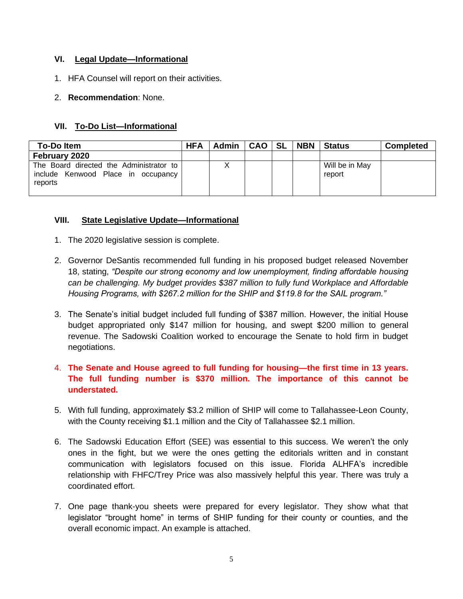## **VI. Legal Update—Informational**

- 1. HFA Counsel will report on their activities.
- 2. **Recommendation**: None.

# **VII. To-Do List—Informational**

| <b>To-Doltem</b>                                                                         | <b>HFA</b> | <b>Admin</b> | <b>CAO</b> | I SL | <b>NBN</b> | <b>Status</b>            | <b>Completed</b> |
|------------------------------------------------------------------------------------------|------------|--------------|------------|------|------------|--------------------------|------------------|
| February 2020                                                                            |            |              |            |      |            |                          |                  |
| The Board directed the Administrator to<br>include Kenwood Place in occupancy<br>reports |            |              |            |      |            | Will be in May<br>report |                  |

# **VIII. State Legislative Update—Informational**

- 1. The 2020 legislative session is complete.
- 2. Governor DeSantis recommended full funding in his proposed budget released November 18, stating, *"Despite our strong economy and low unemployment, finding affordable housing can be challenging. My budget provides \$387 million to fully fund Workplace and Affordable Housing Programs, with \$267.2 million for the SHIP and \$119.8 for the SAIL program."*
- 3. The Senate's initial budget included full funding of \$387 million. However, the initial House budget appropriated only \$147 million for housing, and swept \$200 million to general revenue. The Sadowski Coalition worked to encourage the Senate to hold firm in budget negotiations.
- 4. **The Senate and House agreed to full funding for housing—the first time in 13 years. The full funding number is \$370 million. The importance of this cannot be understated.**
- 5. With full funding, approximately \$3.2 million of SHIP will come to Tallahassee-Leon County, with the County receiving \$1.1 million and the City of Tallahassee \$2.1 million.
- 6. The Sadowski Education Effort (SEE) was essential to this success. We weren't the only ones in the fight, but we were the ones getting the editorials written and in constant communication with legislators focused on this issue. Florida ALHFA's incredible relationship with FHFC/Trey Price was also massively helpful this year. There was truly a coordinated effort.
- 7. One page thank-you sheets were prepared for every legislator. They show what that legislator "brought home" in terms of SHIP funding for their county or counties, and the overall economic impact. An example is attached.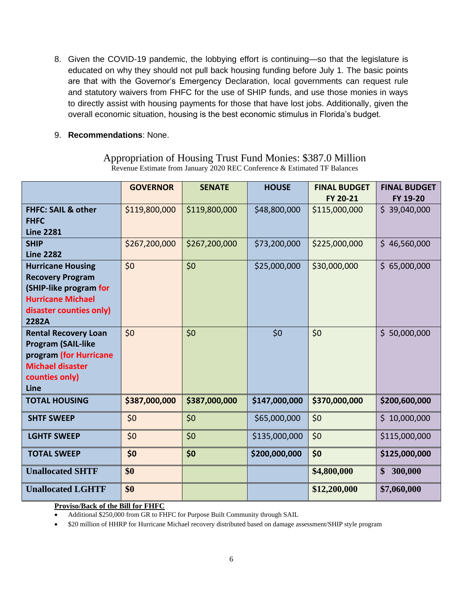- 8. Given the COVID-19 pandemic, the lobbying effort is continuing—so that the legislature is educated on why they should not pull back housing funding before July 1. The basic points are that with the Governor's Emergency Declaration, local governments can request rule and statutory waivers from FHFC for the use of SHIP funds, and use those monies in ways to directly assist with housing payments for those that have lost jobs. Additionally, given the overall economic situation, housing is the best economic stimulus in Florida's budget.
- 9. **Recommendations**: None.

# Appropriation of Housing Trust Fund Monies: \$387.0 Million Revenue Estimate from January 2020 REC Conference & Estimated TF Balances

|                                                                                                                                               | <b>GOVERNOR</b> | <b>SENATE</b> | <b>HOUSE</b>  | <b>FINAL BUDGET</b><br>FY 20-21 | <b>FINAL BUDGET</b><br>FY 19-20 |
|-----------------------------------------------------------------------------------------------------------------------------------------------|-----------------|---------------|---------------|---------------------------------|---------------------------------|
| <b>FHFC: SAIL &amp; other</b><br><b>FHFC</b><br><b>Line 2281</b>                                                                              | \$119,800,000   | \$119,800,000 | \$48,800,000  | \$115,000,000                   | \$39,040,000                    |
| <b>SHIP</b><br><b>Line 2282</b>                                                                                                               | \$267,200,000   | \$267,200,000 | \$73,200,000  | \$225,000,000                   | \$46,560,000                    |
| <b>Hurricane Housing</b><br><b>Recovery Program</b><br>(SHIP-like program for<br><b>Hurricane Michael</b><br>disaster counties only)<br>2282A | \$0             | \$0           | \$25,000,000  | \$30,000,000                    | \$65,000,000                    |
| <b>Rental Recovery Loan</b><br><b>Program (SAIL-like</b><br>program (for Hurricane<br><b>Michael disaster</b><br>counties only)<br>Line       | \$0             | \$0           | \$0           | \$0                             | \$50,000,000                    |
| <b>TOTAL HOUSING</b>                                                                                                                          | \$387,000,000   | \$387,000,000 | \$147,000,000 | \$370,000,000                   | \$200,600,000                   |
| <b>SHTF SWEEP</b>                                                                                                                             | \$0             | \$0           | \$65,000,000  | \$0                             | \$10,000,000                    |
| <b>LGHTF SWEEP</b>                                                                                                                            | \$0             | \$0           | \$135,000,000 | \$0                             | \$115,000,000                   |
| <b>TOTAL SWEEP</b>                                                                                                                            | \$0             | \$0           | \$200,000,000 | \$0                             | \$125,000,000                   |
| <b>Unallocated SHTF</b>                                                                                                                       | \$0             |               |               | \$4,800,000                     | 300,000<br>\$                   |
| <b>Unallocated LGHTF</b>                                                                                                                      | \$0             |               |               | \$12,200,000                    | \$7,060,000                     |

**Proviso/Back of the Bill for FHFC**

• Additional \$250,000 from GR to FHFC for Purpose Built Community through SAIL

• \$20 million of HHRP for Hurricane Michael recovery distributed based on damage assessment/SHIP style program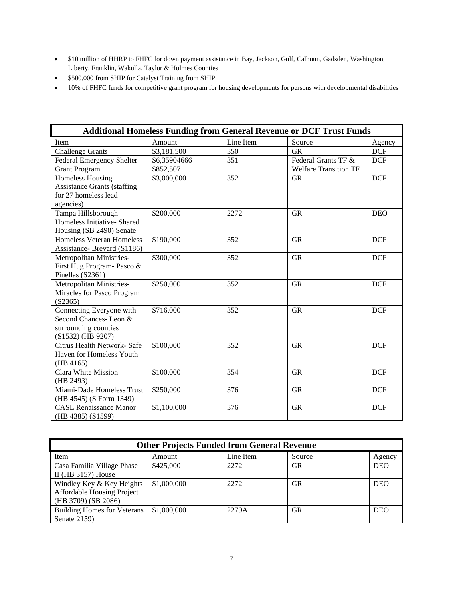- \$10 million of HHRP to FHFC for down payment assistance in Bay, Jackson, Gulf, Calhoun, Gadsden, Washington, Liberty, Franklin, Wakulla, Taylor & Holmes Counties
- \$500,000 from SHIP for Catalyst Training from SHIP
- 10% of FHFC funds for competitive grant program for housing developments for persons with developmental disabilities

| <b>Additional Homeless Funding from General Revenue or DCF Trust Funds</b> |              |           |                              |            |  |  |  |  |
|----------------------------------------------------------------------------|--------------|-----------|------------------------------|------------|--|--|--|--|
| Item                                                                       | Amount       | Line Item | Source                       | Agency     |  |  |  |  |
| <b>Challenge Grants</b>                                                    | \$3,181,500  | 350       | <b>GR</b>                    | <b>DCF</b> |  |  |  |  |
| <b>Federal Emergency Shelter</b>                                           | \$6,35904666 | 351       | Federal Grants TF &          | <b>DCF</b> |  |  |  |  |
| <b>Grant Program</b>                                                       | \$852,507    |           | <b>Welfare Transition TF</b> |            |  |  |  |  |
| <b>Homeless Housing</b>                                                    | \$3,000,000  | 352       | <b>GR</b>                    | <b>DCF</b> |  |  |  |  |
| <b>Assistance Grants (staffing</b>                                         |              |           |                              |            |  |  |  |  |
| for 27 homeless lead                                                       |              |           |                              |            |  |  |  |  |
| agencies)                                                                  |              |           |                              |            |  |  |  |  |
| Tampa Hillsborough                                                         | \$200,000    | 2272      | <b>GR</b>                    | <b>DEO</b> |  |  |  |  |
| Homeless Initiative- Shared                                                |              |           |                              |            |  |  |  |  |
| Housing (SB 2490) Senate                                                   |              |           |                              |            |  |  |  |  |
| <b>Homeless Veteran Homeless</b>                                           | \$190,000    | 352       | <b>GR</b>                    | <b>DCF</b> |  |  |  |  |
| Assistance-Brevard (S1186)                                                 |              |           |                              |            |  |  |  |  |
| Metropolitan Ministries-                                                   | \$300,000    | 352       | <b>GR</b>                    | <b>DCF</b> |  |  |  |  |
| First Hug Program- Pasco &                                                 |              |           |                              |            |  |  |  |  |
| Pinellas (S2361)                                                           |              |           |                              |            |  |  |  |  |
| Metropolitan Ministries-                                                   | \$250,000    | 352       | <b>GR</b>                    | <b>DCF</b> |  |  |  |  |
| Miracles for Pasco Program                                                 |              |           |                              |            |  |  |  |  |
| (S2365)                                                                    |              |           |                              |            |  |  |  |  |
| Connecting Everyone with                                                   | \$716,000    | 352       | <b>GR</b>                    | <b>DCF</b> |  |  |  |  |
| Second Chances-Leon &                                                      |              |           |                              |            |  |  |  |  |
| surrounding counties                                                       |              |           |                              |            |  |  |  |  |
| (S1532) (HB 9207)                                                          |              |           |                              |            |  |  |  |  |
| Citrus Health Network- Safe                                                | \$100,000    | 352       | <b>GR</b>                    | <b>DCF</b> |  |  |  |  |
| Haven for Homeless Youth                                                   |              |           |                              |            |  |  |  |  |
| (HB 4165)                                                                  |              |           |                              |            |  |  |  |  |
| <b>Clara White Mission</b>                                                 | \$100,000    | 354       | <b>GR</b>                    | <b>DCF</b> |  |  |  |  |
| (HB 2493)                                                                  |              |           |                              |            |  |  |  |  |
| Miami-Dade Homeless Trust                                                  | \$250,000    | 376       | <b>GR</b>                    | <b>DCF</b> |  |  |  |  |
| (HB 4545) (S Form 1349)                                                    |              |           |                              |            |  |  |  |  |
| <b>CASL Renaissance Manor</b>                                              | \$1,100,000  | 376       | <b>GR</b>                    | <b>DCF</b> |  |  |  |  |
| (HB 4385) (S1599)                                                          |              |           |                              |            |  |  |  |  |

| <b>Other Projects Funded from General Revenue</b> |             |           |           |            |  |  |  |  |
|---------------------------------------------------|-------------|-----------|-----------|------------|--|--|--|--|
| Item                                              | Amount      | Line Item | Source    | Agency     |  |  |  |  |
| Casa Familia Village Phase                        | \$425,000   | 2272      | <b>GR</b> | <b>DEO</b> |  |  |  |  |
| II (HB $3157$ ) House                             |             |           |           |            |  |  |  |  |
| Windley Key & Key Heights                         | \$1,000,000 | 2272      | <b>GR</b> | <b>DEO</b> |  |  |  |  |
| Affordable Housing Project                        |             |           |           |            |  |  |  |  |
| $(HB 3709)$ (SB 2086)                             |             |           |           |            |  |  |  |  |
| <b>Building Homes for Veterans</b>                | \$1,000,000 | 2279A     | <b>GR</b> | <b>DEO</b> |  |  |  |  |
| Senate 2159)                                      |             |           |           |            |  |  |  |  |